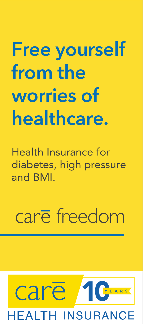# **Free yourself from the worries of healthcare.**

Health Insurance for diabetes, high pressure and BMI.

# care freedom

## care YEARS **EALTH INSURANCE**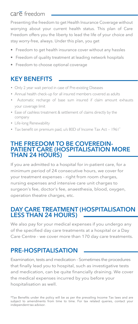#### care freedom

Presenting the freedom to get Health Insurance Coverage without worrying about your current health status. This plan of Care Freedom offers you the liberty to lead the life of your choice and stay worry-free, always. Under this plan, you get

- Freedom to get health insurance cover without any hassles
- Freedom of quality treatment at leading network hospitals
- Freedom to choose optional coverage

#### **KEY BENEFITS**

- Only 2 year wait period in case of Pre-existing Diseases
- Annual health check-up for all insured members covered as adults
- Automatic recharge of base sum insured if claim amount exhausts your coverage limit
- Ease of cashless treatment & settlement of claims directly by the company
- Life-long Renewability
- Tax benefit on premium paid, u/s 80D of Income Tax Act 1961\*

#### **THE FREEDOM TO BE COVEREDIN-PATIENT CARE (HOSPITALISATION MORE THAN 24 HOURS)**

If you are admitted to a hospital for in-patient care, for a minimum period of 24 consecutive hours, we cover for your treatment expenses - right from room charges, nursing expenses and intensive care unit charges to surgeon's fee, doctor's fee, anaesthesia, blood, oxygen, operation theatre charges, etc.

#### **DAY CARE TREATMENT (HOSPITALISATION LESS THAN 24 HOURS)**

We also pay for your medical expenses if you undergo any of the specified day care treatments at a hospital or a Day Care Centre - we cover more than 170 day care treatments.

#### **PRE-HOSPITALISATION**

Examination, tests and medication - Sometimes the procedures that finally lead you to hospital, such as investigative tests and medication, can be quite financially draining. We cover the medical expenses incurred by you before your hospitalisation as well.

\*Tax Benefits under the policy will be as per the prevailing Income Tax laws and are subject to amendments from time to time. For tax related queries, contact your independent tax advisor.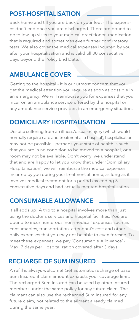#### **POST-HOSPITALISATION**

Back home and till you are back on your feet - The expenses don't end once you are discharged. There are bound to be follow-up visits to your medical practitioner, medication that is required and sometimes even further confirmatory tests. We also cover the medical expenses incurred by you after your hospitalisation and is valid till 30 consecutive days beyond the Policy End Date.

### **AMBULANCE COVER**

Getting to the hospital - It is our utmost concern that you get the medical attention you require as soon as possible in an emergency. We will reimburse you for expenses that you incur on an ambulance service offered by the hospital or any ambulance service provider, in an emergency situation.

#### **DOMICILIARY HOSPITALISATION**

Despite suffering from an illness/disease/injury (which would normally require care and treatment at a hospital), hospitalisation may not be possible - perhaps your state of health is such that you are in no condition to be moved to a hospital, or a room may not be available. Don't worry, we understand that and are happy to let you know that under 'Domiciliary Hospitalisation', we will reimburse the medical expenses incurred by you during your treatment at home, as long as it involves medical treatment for a period exceeding 3 consecutive days and had actually merited hospitalisation.

#### **CONSUMABLE ALLOWANCE**

It all adds up! A trip to a hospital involves more than just using the doctor's services and hospital facilities. You are bound to incur numerous 'non-medical' expenses such as consumables, transportation, attendant's cost and other daily expenses that you may not be able to even foresee. To meet these expenses, we pay 'Consumable Allowance' - Max. 7 days per Hospitalization covered after 3 days.

#### **RECHARGE OF SUM INSURED**

A refill is always welcome! Get automatic recharge of base Sum Insured if claim amount exhausts your coverage limit. The recharged Sum Insured can be used by other insured members under the same policy for any future claim. The claimant can also use the recharged Sum Insured for any future claim, not related to the ailment already claimed during the same year.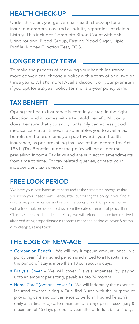#### **HEALTH CHECK-UP**

Under this plan, you get Annual health check-up for all insured members, covered as adults, regardless of claims history. This includes Complete Blood Count with ESR, Urine routine, Blood Group, Fasting Blood Sugar, Lipid Profile, Kidney Function Test, ECG.

#### **LONGER POLICY TERM**

To make the process of renewing your health insurance more convenient, choose a policy with a term of one, two or three years. What's more! Avail a discount on your premium if you opt for a 2-year policy term or a 3-year policy term.

#### **TAX BENEFIT**

Opting for health insurance is certainly a step in the right direction, and it comes with a two-fold benefit. Not only does it ensure that you and your family can access good medical care at all times, it also enables you to avail a tax benefit on the premiums you pay towards your health insurance, as per prevailing tax laws of the Income Tax Act, 1961. (Tax Benefits under the policy will be as per the prevailing Income Tax laws and are subject to amendments from time to time. For tax related queries, contact your independent tax advisor.)

#### **FREE LOOK PERIOD**

We have your best interests at heart and at the same time recognise that you know your needs best. Hence, after purchasing the policy, if you find it unsuitable, you can cancel and return the policy to us. Our policies come with a free-look period of 15 days from the date of receipt of policy. If no Claim has been made under the Policy, we will refund the premium received after deducting proportionate risk premium for the period of cover & stamp duty charges, as applicable.

#### **THE EDGE OF NEW-AGE**

- Companion Benefit We will pay lumpsum amount once in a policy year if the insured person is admitted to a Hospital and the period of stay is more than 10 consecutive days.
- Dialysis Cover We will cover Dialysis expenses by paying upto an amount per sitting, payable upto 24 months.
- Home Care\*\* (optional cover 2) We will indemnify the expenses incurred towards hiring a Qualified Nurse with the purpose of providing care and convenience to perform Insured Person's daily activities, subject to maximum of 7 days per illness/injury & maximum of 45 days per policy year after a deductible of 1 day.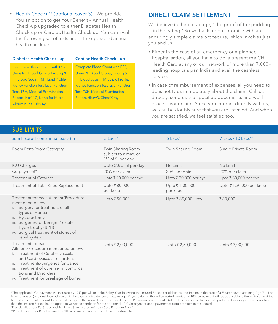• Health Check+\*\* (optional cover 3) - We provide You an option to get Your Benefit – Annual Health Check-up upgraded to either Diabetes Health Check-up or Cardiac Health Check-up. You can avail the following set of tests under the upgraded annual health check-up:-

#### **Diabetes Health Check – up Cardiac Health Check – up**

Complete Blood Count with ESR, Urine RE, Blood Group, Fasting & PP Blood Sugar, TMT, Lipid Profile, Kidney Function Test, Liver Function Test, TSH, Medical Examination Report, HbA1C, Urine for Micro Albuminuria, Hbs Ag

Complete Blood Count with ESR, Urine RE, Blood Group, Fasting & PP Blood Sugar, TMT, Lipid Profile, Kidney Function Test, Liver Function Test, TSH, Medical Examination Report, HbsAG, Chest X-ray

#### **DIRECT CLAIM SETTLEMENT**

We believe in the old adage, "The proof of the pudding is in the eating." So we back up our promise with an enduringly simple claims procedure, which involves just you and us.

- Either in the case of an emergency or a planned hospitalisation, all you have to do is present the CHI Health Card at any of our network of more than 7,000+ leading hospitals pan India and avail the cashless service.
- In case of reimbursement of expenses, all you need to do is notify us immediately about the claim. Call us directly, send us the specified documents and we'll process your claim. Since you interact directly with us, we can be doubly sure that you are satisfied. And when you are satisfied, we feel satisfied too.

| <b>SUB-LIMITS</b>                                                                                                                                                                                                                                                                        |                                                               |                             |                                  |
|------------------------------------------------------------------------------------------------------------------------------------------------------------------------------------------------------------------------------------------------------------------------------------------|---------------------------------------------------------------|-----------------------------|----------------------------------|
| Sum Insured - on annual basis (in `)                                                                                                                                                                                                                                                     | $3$ Lacs <sup>#</sup>                                         | $5$ Lacs <sup>#</sup>       | $7$ Lacs / 10 Lacs <sup>##</sup> |
| Room Rent/Room Category                                                                                                                                                                                                                                                                  | Twin Sharing Room<br>subject to a max. of<br>1% of SI per day | Twin Sharing Room           | Single Private Room              |
| <b>ICU Charges</b>                                                                                                                                                                                                                                                                       | Upto 2% of SI per day                                         | No Limit                    | No Limit                         |
| Co-payment*                                                                                                                                                                                                                                                                              | 20% per claim                                                 | 20% per claim               | 20% per claim                    |
| <b>Treatment of Cataract</b>                                                                                                                                                                                                                                                             | Upto ₹ 20,000 per eye                                         | Upto ₹ 30,000 per eye       | Upto ₹ 30,000 per eye            |
| Treatment of Total Knee Replacement                                                                                                                                                                                                                                                      | Upto ₹80,000<br>per knee                                      | Upto ₹ 1,00,000<br>per knee | Upto ₹1,20,000 per knee          |
| Treatment for each Ailment/Procedure<br>mentioned below:-<br>Surgery for treatment of all<br>$\mathsf{L}$<br>types of Hernia<br>ii. Hysterectomy<br>iii. Surgeries for Benign Prostate<br>Hypertrophy (BPH)<br>iv. Surgical treatment of stones of<br>renal system                       | Upto ₹50,000                                                  | Upto ₹65,000 Upto           | ₹80,000                          |
| Treatment for each<br>Ailment/Procedure mentioned below:-<br>Treatment of Cerebrovascular<br>$\mathbf{L}$<br>and Cardiovascular disorders<br>ii. Treatments/Surgeries for Cancer<br>iii. Treatment of other renal complica<br>tions and Disorders<br>iv. Treatment for breakage of bones | Upto ₹2,00,000                                                | Upto ₹2,50,000              | Upto ₹3,00,000                   |

\*The applicable Co-payment will increase by 10% per Claim in the Policy Year following the Insured Person (or eldest Insured Person in the case of a Floater cover) attaining Age 71. If an Insured Person (or eldest Insured Person in the case of a Floater cover) attains age 71 years during the Policy Period, additional 10% co-payment will be applicable to the Policy only at the time of subsequent renewal. However, if the age of the Insured Person or eldest Insured Person (in case of Floater) at the time of issue of the first Policy with the Company is 70 years or below, then the Insured Person has an option to waive the condition for the additional 10% Co-payment upon payment of extra premium in this regard. # Plan details under Rs. 3 Lacs and Rs. 5 Lacs Sum Insured refers to Care Freedom Plan-1

##Plan details under Rs. 7 Lacs and Rs. 10 Lacs Sum Insured refers to Care Freedom Plan-2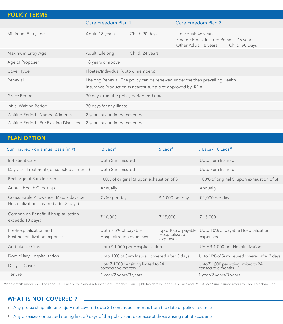| <b>POLICY TERMS</b>                    |                                                                                                                                               |                 |                                                                                            |                |  |
|----------------------------------------|-----------------------------------------------------------------------------------------------------------------------------------------------|-----------------|--------------------------------------------------------------------------------------------|----------------|--|
|                                        | Care Freedom Plan 1                                                                                                                           |                 | Care Freedom Plan 2                                                                        |                |  |
| Minimum Entry age                      | Adult: 18 years                                                                                                                               | Child: 90 days  | Individual: 46 years<br>Floater: Eldest Insured Person - 46 years<br>Other Adult: 18 years | Child: 90 Days |  |
| Maximum Entry Age                      | Adult: Lifelong                                                                                                                               | Child: 24 years |                                                                                            |                |  |
| Age of Proposer                        | 18 years or above                                                                                                                             |                 |                                                                                            |                |  |
| Cover Type                             | Floater/Individual (upto 6 members)                                                                                                           |                 |                                                                                            |                |  |
| Renewal                                | Lifelong Renewal. The policy can be renewed under the then prevailing Health<br>Insurance Product or its nearest substitute approved by IRDAI |                 |                                                                                            |                |  |
| Grace Period                           | 30 days from the policy period end date                                                                                                       |                 |                                                                                            |                |  |
| Initial Waiting Period                 | 30 days for any illness                                                                                                                       |                 |                                                                                            |                |  |
| Waiting Period - Named Ailments        | 2 years of continued coverage                                                                                                                 |                 |                                                                                            |                |  |
| Waiting Period - Pre Existing Diseases | 2 years of continued coverage                                                                                                                 |                 |                                                                                            |                |  |

#### **PLAN OPTION**

| Sun Insured - on annual basis (in ₹)                      | $3$ Lacs <sup>#</sup>                                                        | $5$ Lacs <sup>#</sup>                  | $7$ Lacs / 10 Lacs <sup>##</sup>                                                |
|-----------------------------------------------------------|------------------------------------------------------------------------------|----------------------------------------|---------------------------------------------------------------------------------|
| In-Patient Care                                           | Upto Sum Insured                                                             |                                        | Upto Sum Insured                                                                |
| Day Care Treatment (for selected ailments)                | Upto Sum Insured                                                             |                                        | Upto Sum Insured                                                                |
| Recharge of Sum Insured                                   | 100% of original SI upon exhaustion of SI                                    |                                        | 100% of original SI upon exhaustion of SI                                       |
| Annual Health Check-up                                    | Annually                                                                     |                                        | Annually                                                                        |
| Consumable Allowance (Max. 7 days per                     | $\bar{z}$ 750 per day                                                        | ₹1,000 per day                         | ₹1,000 per day                                                                  |
| Hospitalization covered after 3 days)                     |                                                                              |                                        |                                                                                 |
| Companion Benefit (if hospitalisation<br>exceeds 10 days) | ₹10,000                                                                      | ₹15,000                                | ₹15,000                                                                         |
| Pre-hospitalization and                                   | Upto 7.5% of payable                                                         | Upto 10% of payable<br>Hospitalization | Upto 10% of payable Hospitalization                                             |
| Post-hospitalization expenses                             | Hospitalization expenses                                                     | expenses                               | expenses                                                                        |
| Ambulance Cover                                           | Upto ₹1,000 per Hospitalization                                              |                                        | Upto ₹1,000 per Hospitalization                                                 |
| Domiciliary Hospitalization                               | Upto 10% of Sum Insured covered after 3 days                                 |                                        | Upto 10% of Sum Insured covered after 3 days                                    |
| Dialysis Cover                                            | Upto $\bar{\mathfrak{c}}$ 1,000 per sitting limited to 24 consecutive months |                                        | Upto $\bar{\mathfrak{c}}$ 1,000 per sitting limited to 24<br>consecutive months |
| Tenure                                                    | 1 year/2 years/3 years                                                       |                                        | 1 year/2 years/3 years                                                          |

#Plan details under Rs. 3 Lacs and Rs. 5 Lacs Sum Insured refers to Care Freedom Plan-1 | ##Plan details under Rs. 7 Lacs and Rs. 10 Lacs Sum Insured refers to Care Freedom Plan-2

#### **WHAT IS NOT COVERED ?**

- Any pre-existing ailment/injury not covered upto 24 continuous months from the date of policy issuance
- Any diseases contracted during first 30 days of the policy start date except those arising out of accidents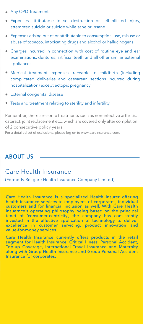- Any OPD Treatment
- Expenses attributable to self-destruction or self-inflicted Injury, attempted suicide or suicide while sane or insane
- Expenses arising out of or attributable to consumption, use, misuse or abuse of tobacco, intoxicating drugs and alcohol or hallucinogens
- Charges incurred in connection with cost of routine eye and ear examinations, dentures, artificial teeth and all other similar external appliances
- Medical treatment expenses traceable to childbirth (including complicated deliveries and caesarean sections incurred during hospitalization) except ectopic pregnancy
- External congenital disease
- Tests and treatment relating to sterility and infertility

Remember, there are some treatments such as non-infective arthritis, cataract, joint replacement etc., which are covered only after completion of 2 consecutive policy years.

For a detailed set of exclusions, please log on to www.careinsurance.com.

#### **ABOUT US**

#### Care Health Insurance

(Formerly Religare Health Insurance Company Limited)

Care Health Insurance is a specialized Health Insurer offering health insurance services to employees of corporates, individual customers and for financial inclusion as well. With Care Health Insuarnce's operating philosophy being based on the principal tenet of 'consumer-centricity', the company has consistently invested in the effective application of technology to deliver<br>excellence in customer servicing, product innovation and excellence in customer servicing, product innovation value-for-money services.

Care Health Insurance currently offers products in the retail segment for Health Insurance, Critical Illness, Personal Accident, Top-up Coverage, International Travel Insurance and Maternity along with Group Health Insurance and Group Personal Accident Insurance for corporates.